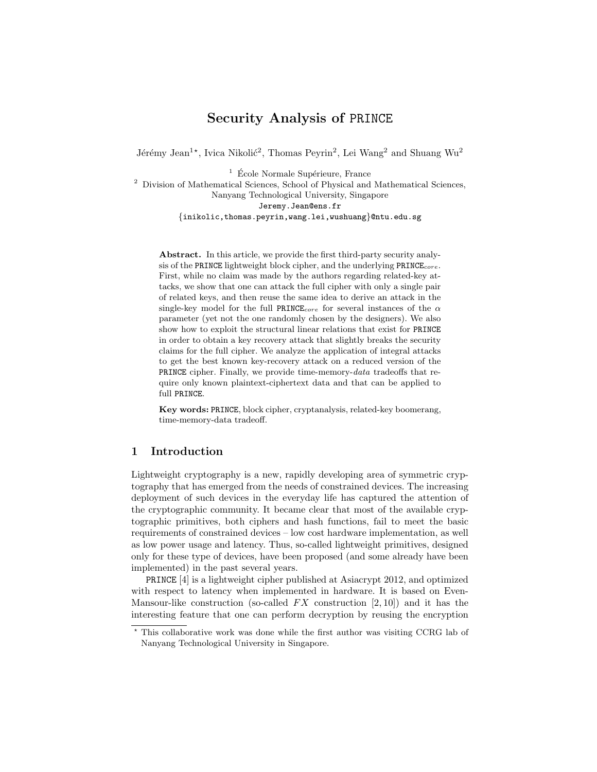# Security Analysis of PRINCE

Jérémy Jean<sup>1\*</sup>, Ivica Nikolić<sup>2</sup>, Thomas Peyrin<sup>2</sup>, Lei Wang<sup>2</sup> and Shuang Wu<sup>2</sup>

 $1 \nE$ cole Normale Supérieure, France

<sup>2</sup> Division of Mathematical Sciences, School of Physical and Mathematical Sciences, Nanyang Technological University, Singapore Jeremy.Jean@ens.fr {inikolic,thomas.peyrin,wang.lei,wushuang}@ntu.edu.sg

Abstract. In this article, we provide the first third-party security analysis of the PRINCE lightweight block cipher, and the underlying  $PRINE_{core}$ . First, while no claim was made by the authors regarding related-key attacks, we show that one can attack the full cipher with only a single pair of related keys, and then reuse the same idea to derive an attack in the single-key model for the full PRINCE<sub>core</sub> for several instances of the  $\alpha$ parameter (yet not the one randomly chosen by the designers). We also show how to exploit the structural linear relations that exist for PRINCE in order to obtain a key recovery attack that slightly breaks the security claims for the full cipher. We analyze the application of integral attacks to get the best known key-recovery attack on a reduced version of the PRINCE cipher. Finally, we provide time-memory-data tradeoffs that require only known plaintext-ciphertext data and that can be applied to full PRINCE.

Key words: PRINCE, block cipher, cryptanalysis, related-key boomerang, time-memory-data tradeoff.

## 1 Introduction

Lightweight cryptography is a new, rapidly developing area of symmetric cryptography that has emerged from the needs of constrained devices. The increasing deployment of such devices in the everyday life has captured the attention of the cryptographic community. It became clear that most of the available cryptographic primitives, both ciphers and hash functions, fail to meet the basic requirements of constrained devices – low cost hardware implementation, as well as low power usage and latency. Thus, so-called lightweight primitives, designed only for these type of devices, have been proposed (and some already have been implemented) in the past several years.

PRINCE [4] is a lightweight cipher published at Asiacrypt 2012, and optimized with respect to latency when implemented in hardware. It is based on Even-Mansour-like construction (so-called  $FX$  construction  $[2, 10]$ ) and it has the interesting feature that one can perform decryption by reusing the encryption

<sup>?</sup> This collaborative work was done while the first author was visiting CCRG lab of Nanyang Technological University in Singapore.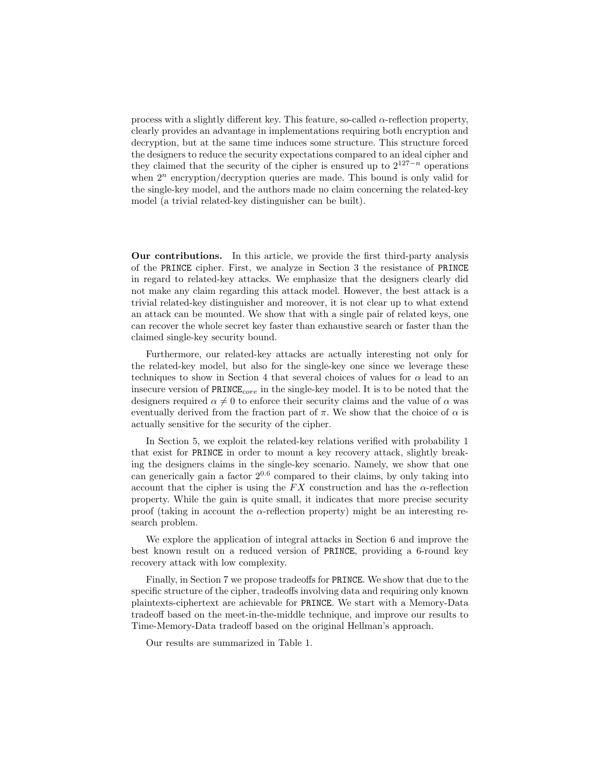process with a slightly different key. This feature, so-called  $\alpha$ -reflection property, clearly provides an advantage in implementations requiring both encryption and decryption, but at the same time induces some structure. This structure forced the designers to reduce the security expectations compared to an ideal cipher and they claimed that the security of the cipher is ensured up to  $2^{127-n}$  operations when  $2^n$  encryption/decryption queries are made. This bound is only valid for the single-key model, and the authors made no claim concerning the related-key model (a trivial related-key distinguisher can be built).

Our contributions. In this article, we provide the first third-party analysis of the PRINCE cipher. First, we analyze in Section 3 the resistance of PRINCE in regard to related-key attacks. We emphasize that the designers clearly did not make any claim regarding this attack model. However, the best attack is a trivial related-key distinguisher and moreover, it is not clear up to what extend an attack can be mounted. We show that with a single pair of related keys, one can recover the whole secret key faster than exhaustive search or faster than the claimed single-key security bound.

Furthermore, our related-key attacks are actually interesting not only for the related-key model, but also for the single-key one since we leverage these techniques to show in Section 4 that several choices of values for  $\alpha$  lead to an insecure version of  $\texttt{PRINCE}_{core}$  in the single-key model. It is to be noted that the designers required  $\alpha \neq 0$  to enforce their security claims and the value of  $\alpha$  was eventually derived from the fraction part of  $\pi$ . We show that the choice of  $\alpha$  is actually sensitive for the security of the cipher.

In Section 5, we exploit the related-key relations verified with probability 1 that exist for PRINCE in order to mount a key recovery attack, slightly breaking the designers claims in the single-key scenario. Namely, we show that one can generically gain a factor  $2^{0.6}$  compared to their claims, by only taking into account that the cipher is using the  $FX$  construction and has the  $\alpha$ -reflection property. While the gain is quite small, it indicates that more precise security proof (taking in account the  $\alpha$ -reflection property) might be an interesting research problem.

We explore the application of integral attacks in Section 6 and improve the best known result on a reduced version of PRINCE, providing a 6-round key recovery attack with low complexity.

Finally, in Section 7 we propose tradeoffs for PRINCE. We show that due to the specific structure of the cipher, tradeoffs involving data and requiring only known plaintexts-ciphertext are achievable for PRINCE. We start with a Memory-Data tradeoff based on the meet-in-the-middle technique, and improve our results to Time-Memory-Data tradeoff based on the original Hellman's approach.

Our results are summarized in Table 1.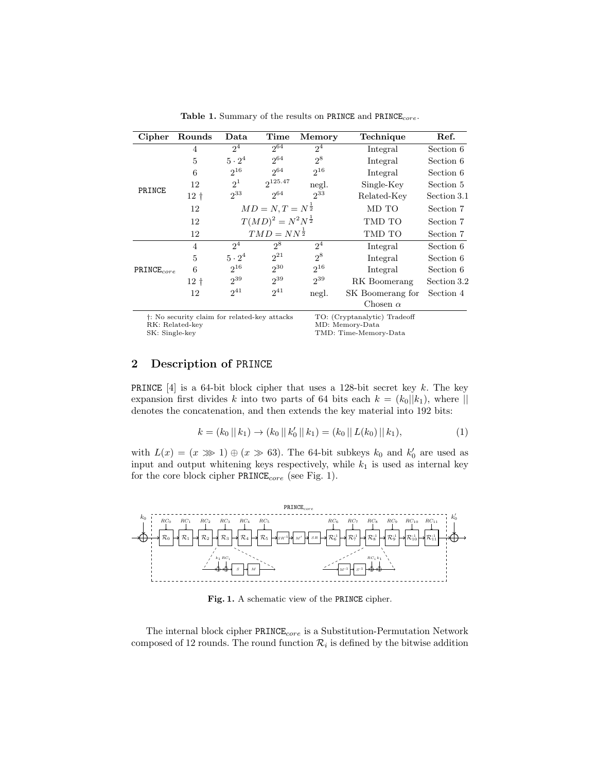| Cipher                            | Rounds                                                   | Data                           | Time         | <b>Memory</b>  | Technique                                                                | Ref.        |
|-----------------------------------|----------------------------------------------------------|--------------------------------|--------------|----------------|--------------------------------------------------------------------------|-------------|
|                                   | $\overline{4}$                                           | $2^4$                          | $2^{64}$     | $2^{4}$        | Integral                                                                 | Section 6   |
| PRINCE                            | 5                                                        | $5 \cdot 2^4$                  | $2^{64}$     | $2^8$          | Integral                                                                 | Section 6   |
|                                   | 6                                                        | $2^{16}$                       | $2^{64}$     | $2^{16}$       | Integral                                                                 | Section 6   |
|                                   | 12                                                       | 2 <sup>1</sup>                 | $2^{125.47}$ | negl.          | Single-Key                                                               | Section 5   |
|                                   | $12+$                                                    | $2^{33}$                       | $2^{64}$     | $2^{33}$       | Related-Key                                                              | Section 3.1 |
|                                   | 12                                                       | $MD = N, T = N^{\frac{1}{2}}$  |              |                | MD TO                                                                    | Section 7   |
|                                   | 12                                                       | $T(MD)^2 = N^2N^{\frac{1}{2}}$ |              | TMD TO         | Section 7                                                                |             |
|                                   | 12                                                       | $TMD = NN^{\frac{1}{2}}$       |              | TMD TO         | Section 7                                                                |             |
| $PRINCE_{core}$                   | $\overline{4}$                                           | 2 <sup>4</sup>                 | $2^8$        | 2 <sup>4</sup> | Integral                                                                 | Section 6   |
|                                   | 5                                                        | $5 \cdot 2^4$                  | $2^{21}$     | $2^8$          | Integral                                                                 | Section 6   |
|                                   | 6                                                        | $2^{16}$                       | $2^{30}$     | $2^{16}$       | Integral                                                                 | Section 6   |
|                                   | $12+$                                                    | $2^{39}$                       | $2^{39}$     | $2^{39}$       | RK Boomerang                                                             | Section 3.2 |
|                                   | 12                                                       | $2^{41}$                       | $2^{41}$     | negl.          | SK Boomerang for                                                         | Section 4   |
|                                   |                                                          |                                |              |                | Chosen $\alpha$                                                          |             |
| RK: Related-key<br>SK: Single-key | <sup>†</sup> : No security claim for related-key attacks |                                |              |                | TO: (Cryptanalytic) Tradeoff<br>MD: Memory-Data<br>TMD: Time-Memory-Data |             |

Table 1. Summary of the results on PRINCE and PRINCE<sub>core</sub>.

# 2 Description of PRINCE

**PRINCE** [4] is a 64-bit block cipher that uses a 128-bit secret key k. The key expansion first divides k into two parts of 64 bits each  $k = (k_0||k_1)$ , where || denotes the concatenation, and then extends the key material into 192 bits:

$$
k = (k_0 || k_1) \to (k_0 || k'_0 || k_1) = (k_0 || L(k_0) || k_1), \tag{1}
$$

with  $L(x) = (x \gg 1) \oplus (x \gg 63)$ . The 64-bit subkeys  $k_0$  and  $k'_0$  are used as input and output whitening keys respectively, while  $k_1$  is used as internal key for the core block cipher  $\texttt{PRINCE}_{core}$  (see Fig. 1).



Fig. 1. A schematic view of the PRINCE cipher.

The internal block cipher  $\texttt{PRINEE}_{core}$  is a Substitution-Permutation Network composed of 12 rounds. The round function  $\mathcal{R}_i$  is defined by the bitwise addition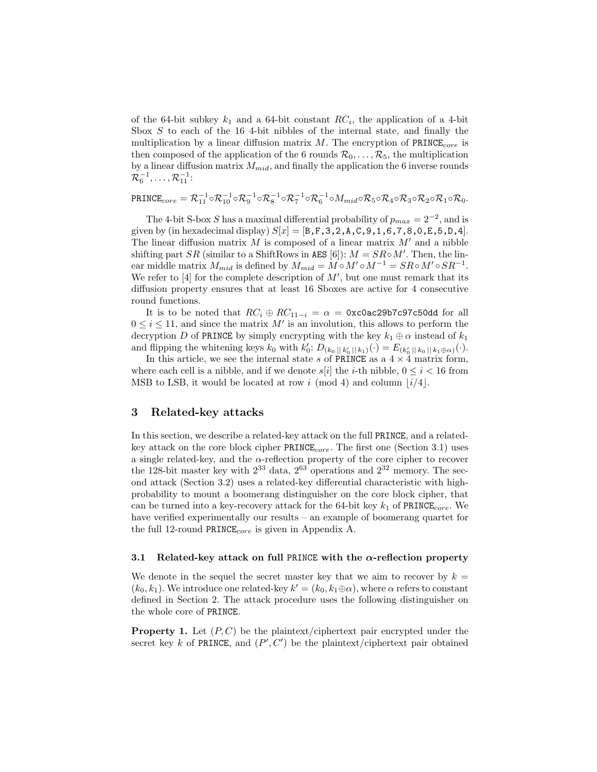of the 64-bit subkey  $k_1$  and a 64-bit constant  $RC_i$ , the application of a 4-bit Sbox  $S$  to each of the 16 4-bit nibbles of the internal state, and finally the multiplication by a linear diffusion matrix  $M$ . The encryption of  $PRINE_{core}$  is then composed of the application of the 6 rounds  $\mathcal{R}_0, \ldots, \mathcal{R}_5$ , the multiplication by a linear diffusion matrix  $M_{mid}$ , and finally the application the 6 inverse rounds  $\mathcal{R}_6^{-1}, \ldots, \mathcal{R}_{11}^{-1}$ :

 $\textrm{PRINCE}_{core} = \mathcal{R}_{11}^{-1} \circ \mathcal{R}_{10}^{-1} \circ \mathcal{R}_{9}^{-1} \circ \mathcal{R}_{8}^{-1} \circ \mathcal{R}_{7}^{-1} \circ \mathcal{R}_{6}^{-1} \circ M_{mid} \circ \mathcal{R}_{5} \circ \mathcal{R}_{4} \circ \mathcal{R}_{3} \circ \mathcal{R}_{2} \circ \mathcal{R}_{1} \circ \mathcal{R}_{0}.$ 

The 4-bit S-box S has a maximal differential probability of  $p_{max} = 2^{-2}$ , and is given by (in hexadecimal display)  $S[x] = [B, F, 3, 2, A, C, 9, 1, 6, 7, 8, 0, E, 5, D, 4]$ . The linear diffusion matrix M is composed of a linear matrix  $M'$  and a nibble shifting part SR (similar to a ShiftRows in AES [6]):  $M = SR \circ M'$ . Then, the linear middle matrix  $M_{mid}$  is defined by  $M_{mid} = M \circ M' \circ M^{-1} = SR \circ M' \circ SR^{-1}$ . We refer to [4] for the complete description of  $M'$ , but one must remark that its diffusion property ensures that at least 16 Sboxes are active for 4 consecutive round functions.

It is to be noted that  $RC_i \oplus RC_{11-i} = \alpha = \alpha$  = 0xc0ac29b7c97c50dd for all  $0 \leq i \leq 11$ , and since the matrix M' is an involution, this allows to perform the decryption D of PRINCE by simply encrypting with the key  $k_1 \oplus \alpha$  instead of  $k_1$ and flipping the whitening keys  $k_0$  with  $k'_0: D_{(k_0||k'_0||k_1)}(\cdot) = E_{(k'_0||k_0||k_1\oplus\alpha)}(\cdot)$ .

In this article, we see the internal state s of PRINCE as a  $4 \times 4$  matrix form, where each cell is a nibble, and if we denote  $s[i]$  the *i*-th nibble,  $0 \le i < 16$  from MSB to LSB, it would be located at row i (mod 4) and column  $|i/4|$ .

## 3 Related-key attacks

In this section, we describe a related-key attack on the full PRINCE, and a relatedkey attack on the core block cipher  $PRINCE_{core}$ . The first one (Section 3.1) uses a single related-key, and the  $\alpha$ -reflection property of the core cipher to recover the 128-bit master key with  $2^{33}$  data,  $2^{63}$  operations and  $2^{32}$  memory. The second attack (Section 3.2) uses a related-key differential characteristic with highprobability to mount a boomerang distinguisher on the core block cipher, that can be turned into a key-recovery attack for the 64-bit key  $k_1$  of PRINCE<sub>core</sub>. We have verified experimentally our results – an example of boomerang quartet for the full 12-round PRINCE<sub>core</sub> is given in Appendix A.

#### 3.1 Related-key attack on full PRINCE with the  $\alpha$ -reflection property

We denote in the sequel the secret master key that we aim to recover by  $k =$  $(k_0, k_1)$ . We introduce one related-key  $k' = (k_0, k_1 \oplus \alpha)$ , where  $\alpha$  refers to constant defined in Section 2. The attack procedure uses the following distinguisher on the whole core of PRINCE.

**Property 1.** Let  $(P, C)$  be the plaintext/ciphertext pair encrypted under the secret key k of PRINCE, and  $(P', C')$  be the plaintext/ciphertext pair obtained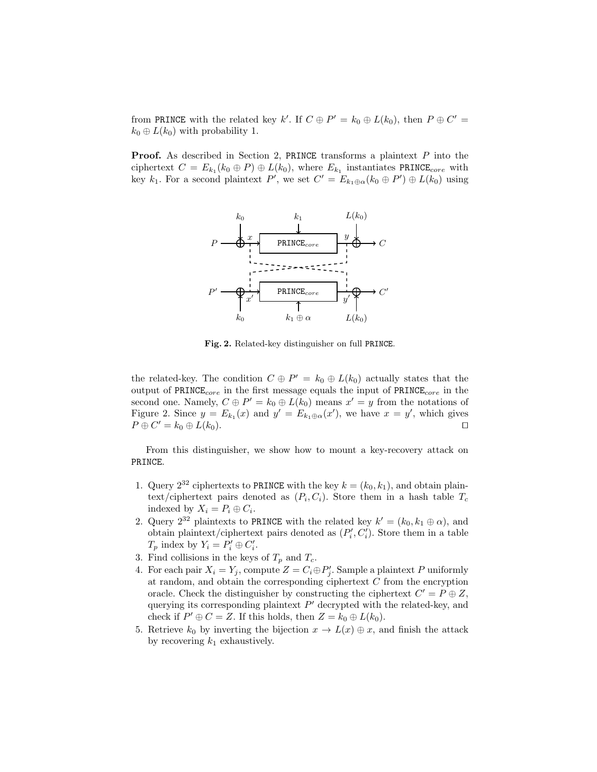from PRINCE with the related key k'. If  $C \oplus P' = k_0 \oplus L(k_0)$ , then  $P \oplus C' =$  $k_0 \oplus L(k_0)$  with probability 1.

**Proof.** As described in Section 2, PRINCE transforms a plaintext  $P$  into the ciphertext  $C = E_{k_1}(k_0 \oplus P) \oplus L(k_0)$ , where  $E_{k_1}$  instantiates PRINCE<sub>core</sub> with key  $k_1$ . For a second plaintext P', we set  $C' = E_{k_1 \oplus \alpha}(k_0 \oplus P') \oplus L(k_0)$  using



Fig. 2. Related-key distinguisher on full PRINCE.

the related-key. The condition  $C \oplus P' = k_0 \oplus L(k_0)$  actually states that the output of  $PRINCE_{core}$  in the first message equals the input of  $PRINE_{core}$  in the second one. Namely,  $C \oplus P' = k_0 \oplus L(k_0)$  means  $x' = y$  from the notations of Figure 2. Since  $y = E_{k_1}(x)$  and  $y' = E_{k_1 \oplus \alpha}(x')$ , we have  $x = y'$ , which gives  $P \oplus C' = k_0 \oplus L(k_0).$ 

From this distinguisher, we show how to mount a key-recovery attack on PRINCE.

- 1. Query  $2^{32}$  ciphertexts to PRINCE with the key  $k = (k_0, k_1)$ , and obtain plaintext/ciphertext pairs denoted as  $(P_i, C_i)$ . Store them in a hash table  $T_c$ indexed by  $X_i = P_i \oplus C_i$ .
- 2. Query  $2^{32}$  plaintexts to PRINCE with the related key  $k' = (k_0, k_1 \oplus \alpha)$ , and obtain plaintext/ciphertext pairs denoted as  $(P_i', C_i')$ . Store them in a table  $T_p$  index by  $Y_i = P'_i \oplus C'_i$ .
- 3. Find collisions in the keys of  $T_p$  and  $T_c$ .
- 4. For each pair  $X_i = Y_j$ , compute  $Z = C_i \oplus P'_j$ . Sample a plaintext P uniformly at random, and obtain the corresponding ciphertext C from the encryption oracle. Check the distinguisher by constructing the ciphertext  $C' = P \oplus Z$ , querying its corresponding plaintext  $P'$  decrypted with the related-key, and check if  $P' \oplus C = Z$ . If this holds, then  $Z = k_0 \oplus L(k_0)$ .
- 5. Retrieve  $k_0$  by inverting the bijection  $x \to L(x) \oplus x$ , and finish the attack by recovering  $k_1$  exhaustively.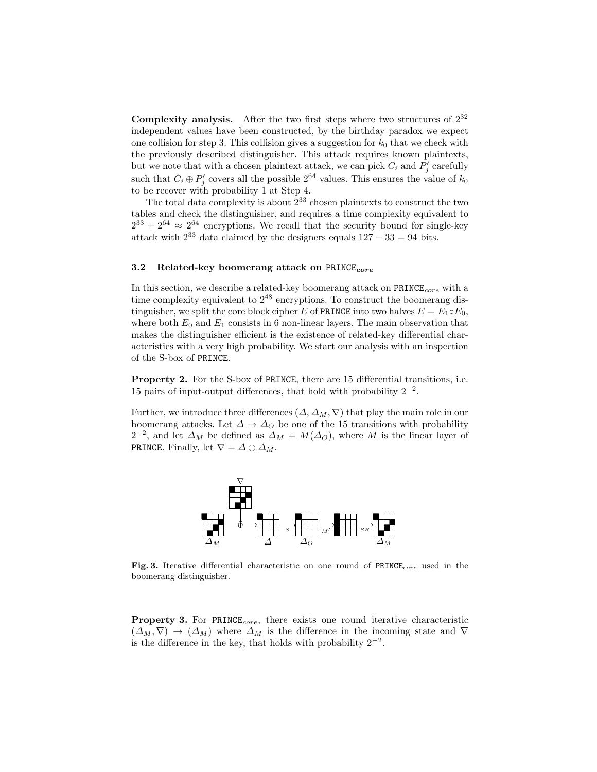**Complexity analysis.** After the two first steps where two structures of  $2^{32}$ independent values have been constructed, by the birthday paradox we expect one collision for step 3. This collision gives a suggestion for  $k_0$  that we check with the previously described distinguisher. This attack requires known plaintexts, but we note that with a chosen plaintext attack, we can pick  $C_i$  and  $P'_j$  carefully such that  $C_i \oplus P'_j$  covers all the possible  $2^{64}$  values. This ensures the value of  $k_0$ to be recover with probability 1 at Step 4.

The total data complexity is about  $2^{33}$  chosen plaintexts to construct the two tables and check the distinguisher, and requires a time complexity equivalent to  $2^{33} + 2^{64} \approx 2^{64}$  encryptions. We recall that the security bound for single-key attack with  $2^{33}$  data claimed by the designers equals  $127 - 33 = 94$  bits.

### 3.2 Related-key boomerang attack on  $PRINE_{core}$

In this section, we describe a related-key boomerang attack on PRINCE<sub>core</sub> with a time complexity equivalent to  $2^{48}$  encryptions. To construct the boomerang distinguisher, we split the core block cipher E of PRINCE into two halves  $E = E_1 \circ E_0$ , where both  $E_0$  and  $E_1$  consists in 6 non-linear layers. The main observation that makes the distinguisher efficient is the existence of related-key differential characteristics with a very high probability. We start our analysis with an inspection of the S-box of PRINCE.

Property 2. For the S-box of PRINCE, there are 15 differential transitions, i.e. 15 pairs of input-output differences, that hold with probability  $2^{-2}$ .

Further, we introduce three differences  $(\Delta, \Delta_M, \nabla)$  that play the main role in our boomerang attacks. Let  $\Delta \to \Delta_O$  be one of the 15 transitions with probability  $2^{-2}$ , and let  $\Delta_M$  be defined as  $\Delta_M = M(\Delta_O)$ , where M is the linear layer of PRINCE. Finally, let  $\nabla = \Delta \oplus \Delta_M$ .



Fig. 3. Iterative differential characteristic on one round of  $PRINE_{core}$  used in the boomerang distinguisher.

**Property 3.** For  $\text{PRINE}_{core}$ , there exists one round iterative characteristic  $(\Delta_M, \nabla) \rightarrow (\Delta_M)$  where  $\Delta_M$  is the difference in the incoming state and  $\nabla$ is the difference in the key, that holds with probability  $2^{-2}$ .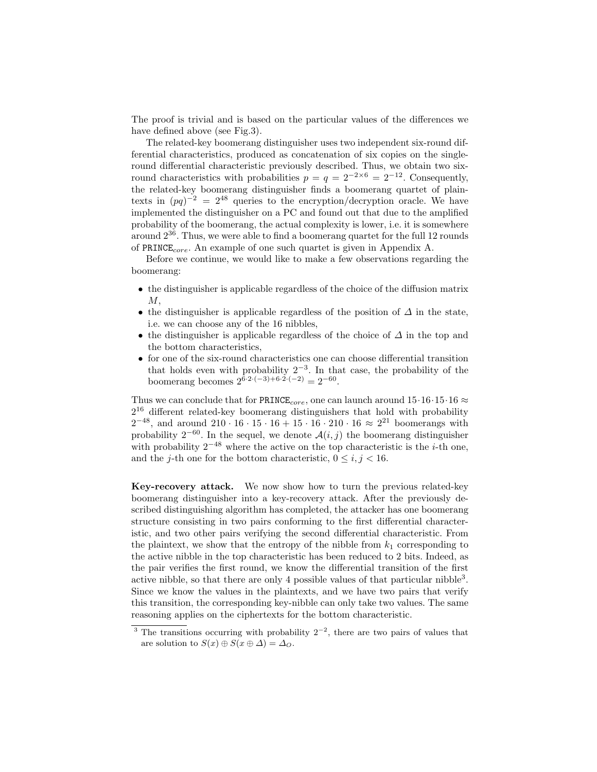The proof is trivial and is based on the particular values of the differences we have defined above (see Fig.3).

The related-key boomerang distinguisher uses two independent six-round differential characteristics, produced as concatenation of six copies on the singleround differential characteristic previously described. Thus, we obtain two sixround characteristics with probabilities  $p = q = 2^{-2 \times 6} = 2^{-12}$ . Consequently, the related-key boomerang distinguisher finds a boomerang quartet of plaintexts in  $(pq)^{-2} = 2^{48}$  queries to the encryption/decryption oracle. We have implemented the distinguisher on a PC and found out that due to the amplified probability of the boomerang, the actual complexity is lower, i.e. it is somewhere around 236. Thus, we were able to find a boomerang quartet for the full 12 rounds of  $PRINCE_{core}$ . An example of one such quartet is given in Appendix A.

Before we continue, we would like to make a few observations regarding the boomerang:

- the distinguisher is applicable regardless of the choice of the diffusion matrix  $M$ ,
- the distinguisher is applicable regardless of the position of  $\Delta$  in the state, i.e. we can choose any of the 16 nibbles,
- the distinguisher is applicable regardless of the choice of  $\Delta$  in the top and the bottom characteristics,
- $\bullet\,$  for one of the six-round characteristics one can choose differential transition that holds even with probability  $2^{-3}$ . In that case, the probability of the boomerang becomes  $2^{6 \cdot 2 \cdot (-3) + 6 \cdot 2 \cdot (-2)} = 2^{-60}$ .

Thus we can conclude that for PRINCE<sub>core</sub>, one can launch around  $15.16 \cdot 15.16 \approx$  $2^{16}$  different related-key boomerang distinguishers that hold with probability  $2^{-48}$ , and around  $210 \cdot 16 \cdot 15 \cdot 16 + 15 \cdot 16 \cdot 210 \cdot 16 \approx 2^{21}$  boomerangs with probability  $2^{-60}$ . In the sequel, we denote  $\mathcal{A}(i, j)$  the boomerang distinguisher with probability  $2^{-48}$  where the active on the top characteristic is the *i*-th one, and the *j*-th one for the bottom characteristic,  $0 \le i, j \le 16$ .

Key-recovery attack. We now show how to turn the previous related-key boomerang distinguisher into a key-recovery attack. After the previously described distinguishing algorithm has completed, the attacker has one boomerang structure consisting in two pairs conforming to the first differential characteristic, and two other pairs verifying the second differential characteristic. From the plaintext, we show that the entropy of the nibble from  $k_1$  corresponding to the active nibble in the top characteristic has been reduced to 2 bits. Indeed, as the pair verifies the first round, we know the differential transition of the first active nibble, so that there are only 4 possible values of that particular nibble<sup>3</sup>. Since we know the values in the plaintexts, and we have two pairs that verify this transition, the corresponding key-nibble can only take two values. The same reasoning applies on the ciphertexts for the bottom characteristic.

<sup>&</sup>lt;sup>3</sup> The transitions occurring with probability  $2^{-2}$ , there are two pairs of values that are solution to  $S(x) \oplus S(x \oplus \Delta) = \Delta_O$ .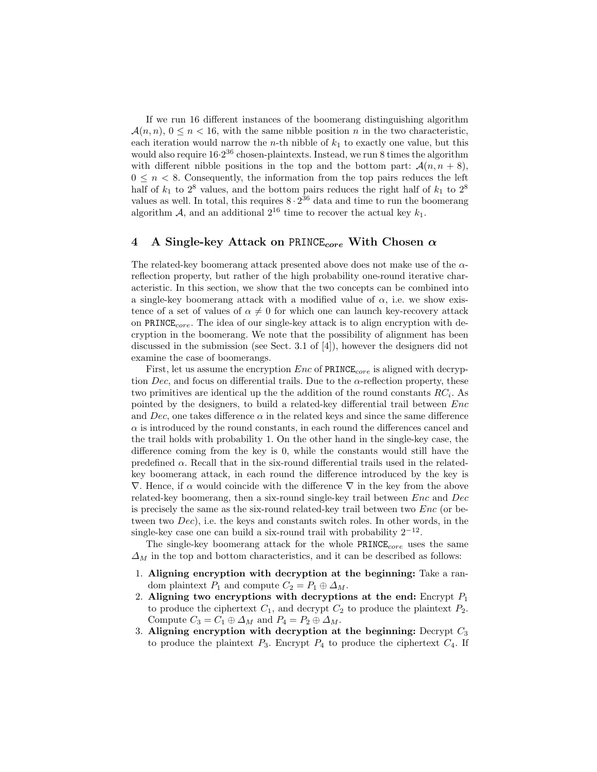If we run 16 different instances of the boomerang distinguishing algorithm  $\mathcal{A}(n, n)$ ,  $0 \leq n < 16$ , with the same nibble position n in the two characteristic, each iteration would narrow the *n*-th nibble of  $k_1$  to exactly one value, but this would also require  $16.2^{36}$  chosen-plaintexts. Instead, we run 8 times the algorithm with different nibble positions in the top and the bottom part:  $\mathcal{A}(n, n + 8)$ ,  $0 \leq n < 8$ . Consequently, the information from the top pairs reduces the left half of  $k_1$  to  $2^8$  values, and the bottom pairs reduces the right half of  $k_1$  to  $2^8$ values as well. In total, this requires  $8 \cdot 2^{36}$  data and time to run the boomerang algorithm A, and an additional  $2^{16}$  time to recover the actual key  $k_1$ .

## 4 A Single-key Attack on PRINCE<sub>core</sub> With Chosen  $\alpha$

The related-key boomerang attack presented above does not make use of the  $\alpha$ reflection property, but rather of the high probability one-round iterative characteristic. In this section, we show that the two concepts can be combined into a single-key boomerang attack with a modified value of  $\alpha$ , i.e. we show existence of a set of values of  $\alpha \neq 0$  for which one can launch key-recovery attack on PRINCE<sub>core</sub>. The idea of our single-key attack is to align encryption with decryption in the boomerang. We note that the possibility of alignment has been discussed in the submission (see Sect. 3.1 of [4]), however the designers did not examine the case of boomerangs.

First, let us assume the encryption  $Enc$  of  $PRINE_{core}$  is aligned with decryption Dec, and focus on differential trails. Due to the  $\alpha$ -reflection property, these two primitives are identical up the the addition of the round constants  $RC<sub>i</sub>$ . As pointed by the designers, to build a related-key differential trail between Enc and Dec, one takes difference  $\alpha$  in the related keys and since the same difference  $\alpha$  is introduced by the round constants, in each round the differences cancel and the trail holds with probability 1. On the other hand in the single-key case, the difference coming from the key is 0, while the constants would still have the predefined  $\alpha$ . Recall that in the six-round differential trails used in the relatedkey boomerang attack, in each round the difference introduced by the key is  $\nabla$ . Hence, if  $\alpha$  would coincide with the difference  $\nabla$  in the key from the above related-key boomerang, then a six-round single-key trail between Enc and Dec is precisely the same as the six-round related-key trail between two Enc (or between two Dec), i.e. the keys and constants switch roles. In other words, in the single-key case one can build a six-round trail with probability  $2^{-12}$ .

The single-key boomerang attack for the whole  $PRINCE_{core}$  uses the same  $\Delta_M$  in the top and bottom characteristics, and it can be described as follows:

- 1. Aligning encryption with decryption at the beginning: Take a random plaintext  $P_1$  and compute  $C_2 = P_1 \oplus \Delta_M$ .
- 2. Aligning two encryptions with decryptions at the end: Encrypt  $P_1$ to produce the ciphertext  $C_1$ , and decrypt  $C_2$  to produce the plaintext  $P_2$ . Compute  $C_3 = C_1 \oplus \Delta_M$  and  $P_4 = P_2 \oplus \Delta_M$ .
- 3. Aligning encryption with decryption at the beginning: Decrypt  $C_3$ to produce the plaintext  $P_3$ . Encrypt  $P_4$  to produce the ciphertext  $C_4$ . If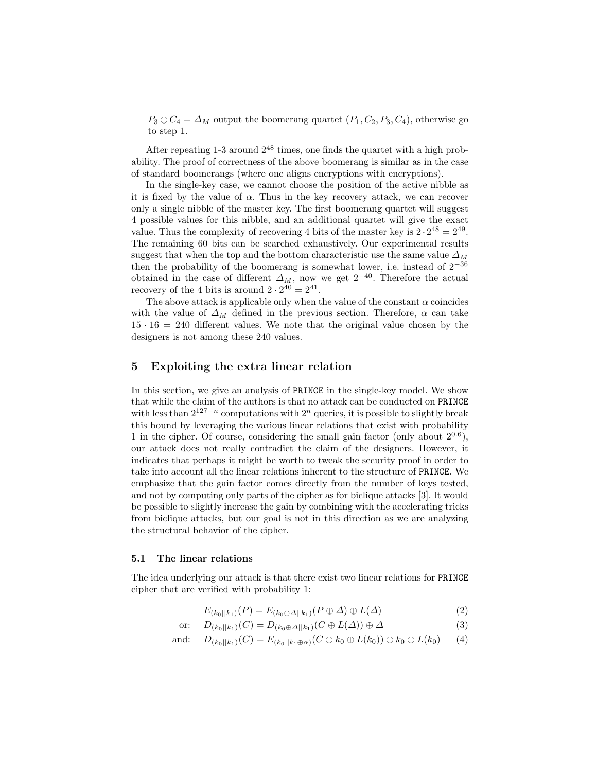$P_3 \oplus C_4 = \Delta_M$  output the boomerang quartet  $(P_1, C_2, P_3, C_4)$ , otherwise go to step 1.

After repeating  $1-3$  around  $2^{48}$  times, one finds the quartet with a high probability. The proof of correctness of the above boomerang is similar as in the case of standard boomerangs (where one aligns encryptions with encryptions).

In the single-key case, we cannot choose the position of the active nibble as it is fixed by the value of  $\alpha$ . Thus in the key recovery attack, we can recover only a single nibble of the master key. The first boomerang quartet will suggest 4 possible values for this nibble, and an additional quartet will give the exact value. Thus the complexity of recovering 4 bits of the master key is  $2 \cdot 2^{48} = 2^{49}$ . The remaining 60 bits can be searched exhaustively. Our experimental results suggest that when the top and the bottom characteristic use the same value  $\Delta_M$ then the probability of the boomerang is somewhat lower, i.e. instead of  $2^{-36}$ obtained in the case of different  $\Delta_M$ , now we get  $2^{-40}$ . Therefore the actual recovery of the 4 bits is around  $2 \cdot 2^{40} = 2^{41}$ .

The above attack is applicable only when the value of the constant  $\alpha$  coincides with the value of  $\Delta_M$  defined in the previous section. Therefore,  $\alpha$  can take  $15 \cdot 16 = 240$  different values. We note that the original value chosen by the designers is not among these 240 values.

### 5 Exploiting the extra linear relation

In this section, we give an analysis of PRINCE in the single-key model. We show that while the claim of the authors is that no attack can be conducted on PRINCE with less than  $2^{127-n}$  computations with  $2^n$  queries, it is possible to slightly break this bound by leveraging the various linear relations that exist with probability 1 in the cipher. Of course, considering the small gain factor (only about  $2^{0.6}$ ), our attack does not really contradict the claim of the designers. However, it indicates that perhaps it might be worth to tweak the security proof in order to take into account all the linear relations inherent to the structure of PRINCE. We emphasize that the gain factor comes directly from the number of keys tested, and not by computing only parts of the cipher as for biclique attacks [3]. It would be possible to slightly increase the gain by combining with the accelerating tricks from biclique attacks, but our goal is not in this direction as we are analyzing the structural behavior of the cipher.

#### 5.1 The linear relations

The idea underlying our attack is that there exist two linear relations for PRINCE cipher that are verified with probability 1:

$$
E_{(k_0||k_1)}(P) = E_{(k_0 \oplus \Delta||k_1)}(P \oplus \Delta) \oplus L(\Delta)
$$
\n(2)

or: 
$$
D_{(k_0||k_1)}(C) = D_{(k_0 \oplus \Delta||k_1)}(C \oplus L(\Delta)) \oplus \Delta
$$
 (3)

and: 
$$
D_{(k_0||k_1)}(C) = E_{(k_0||k_1 \oplus \alpha)}(C \oplus k_0 \oplus L(k_0)) \oplus k_0 \oplus L(k_0)
$$
 (4)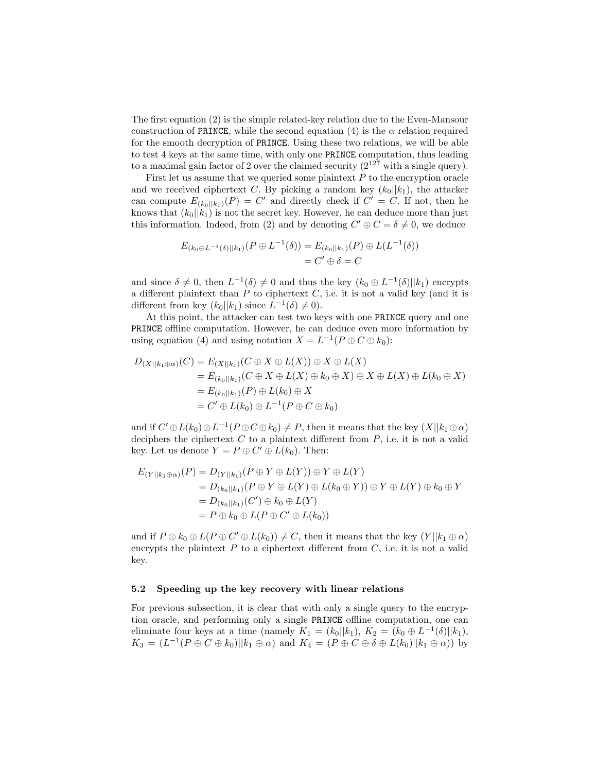The first equation (2) is the simple related-key relation due to the Even-Mansour construction of PRINCE, while the second equation (4) is the  $\alpha$  relation required for the smooth decryption of PRINCE. Using these two relations, we will be able to test 4 keys at the same time, with only one PRINCE computation, thus leading to a maximal gain factor of 2 over the claimed security  $(2^{127} \text{ with a single query}).$ 

First let us assume that we queried some plaintext  $P$  to the encryption oracle and we received ciphertext C. By picking a random key  $(k_0||k_1)$ , the attacker can compute  $E_{(k_0||k_1)}(P) = C'$  and directly check if  $C' = C$ . If not, then he knows that  $(k_0||k_1)$  is not the secret key. However, he can deduce more than just this information. Indeed, from (2) and by denoting  $C' \oplus C = \delta \neq 0$ , we deduce

$$
E_{(k_0 \oplus L^{-1}(\delta)||k_1)}(P \oplus L^{-1}(\delta)) = E_{(k_0||k_1)}(P) \oplus L(L^{-1}(\delta))
$$
  
=  $C' \oplus \delta = C$ 

and since  $\delta \neq 0$ , then  $L^{-1}(\delta) \neq 0$  and thus the key  $(k_0 \oplus L^{-1}(\delta)||k_1)$  encrypts a different plaintext than  $P$  to ciphertext  $C$ , i.e. it is not a valid key (and it is different from key  $(k_0||k_1)$  since  $L^{-1}(\delta) \neq 0$ .

At this point, the attacker can test two keys with one PRINCE query and one PRINCE offline computation. However, he can deduce even more information by using equation (4) and using notation  $X = L^{-1}(P \oplus C \oplus k_0)$ :

$$
D_{(X||k_1 \oplus \alpha)}(C) = E_{(X||k_1)}(C \oplus X \oplus L(X)) \oplus X \oplus L(X)
$$
  
\n
$$
= E_{(k_0||k_1)}(C \oplus X \oplus L(X) \oplus k_0 \oplus X) \oplus X \oplus L(X) \oplus L(k_0 \oplus X)
$$
  
\n
$$
= E_{(k_0||k_1)}(P) \oplus L(k_0) \oplus X
$$
  
\n
$$
= C' \oplus L(k_0) \oplus L^{-1}(P \oplus C \oplus k_0)
$$

and if  $C' \oplus L(k_0) \oplus L^{-1}(P \oplus C \oplus k_0) \neq P$ , then it means that the key  $(X||k_1 \oplus \alpha)$ deciphers the ciphertext  $C$  to a plaintext different from  $P$ , i.e. it is not a valid key. Let us denote  $Y = P \oplus C' \oplus L(k_0)$ . Then:

$$
E_{(Y||k_1 \oplus \alpha)}(P) = D_{(Y||k_1)}(P \oplus Y \oplus L(Y)) \oplus Y \oplus L(Y)
$$
  
\n
$$
= D_{(k_0||k_1)}(P \oplus Y \oplus L(Y) \oplus L(k_0 \oplus Y)) \oplus Y \oplus L(Y) \oplus k_0 \oplus Y
$$
  
\n
$$
= D_{(k_0||k_1)}(C') \oplus k_0 \oplus L(Y)
$$
  
\n
$$
= P \oplus k_0 \oplus L(P \oplus C' \oplus L(k_0))
$$

and if  $P \oplus k_0 \oplus L(P \oplus C' \oplus L(k_0)) \neq C$ , then it means that the key  $(Y||k_1 \oplus \alpha)$ encrypts the plaintext  $P$  to a ciphertext different from  $C$ , i.e. it is not a valid key.

#### 5.2 Speeding up the key recovery with linear relations

For previous subsection, it is clear that with only a single query to the encryption oracle, and performing only a single PRINCE offline computation, one can eliminate four keys at a time (namely  $K_1 = (k_0||k_1), K_2 = (k_0 \oplus L^{-1}(\delta)||k_1),$  $K_3 = (L^{-1}(P \oplus C \oplus k_0)||k_1 \oplus \alpha)$  and  $K_4 = (P \oplus C \oplus \delta \oplus L(k_0)||k_1 \oplus \alpha)$  by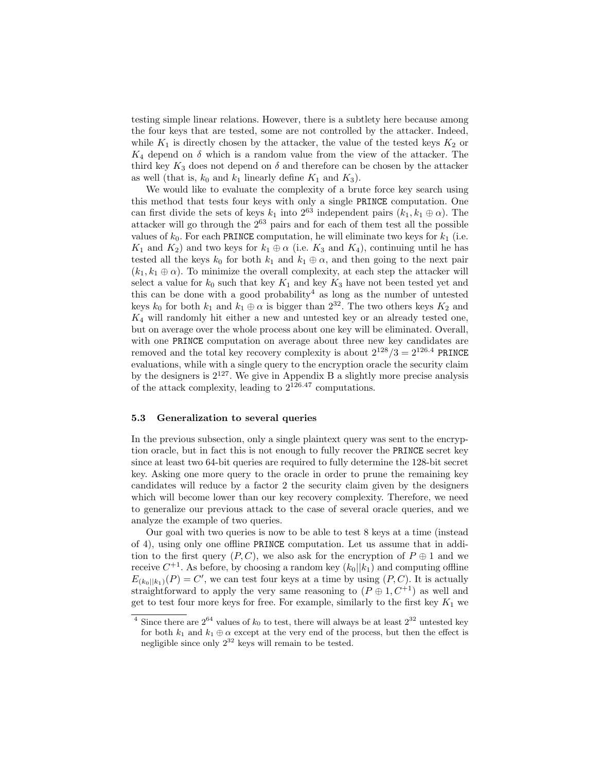testing simple linear relations. However, there is a subtlety here because among the four keys that are tested, some are not controlled by the attacker. Indeed, while  $K_1$  is directly chosen by the attacker, the value of the tested keys  $K_2$  or  $K_4$  depend on  $\delta$  which is a random value from the view of the attacker. The third key  $K_3$  does not depend on  $\delta$  and therefore can be chosen by the attacker as well (that is,  $k_0$  and  $k_1$  linearly define  $K_1$  and  $K_3$ ).

We would like to evaluate the complexity of a brute force key search using this method that tests four keys with only a single PRINCE computation. One can first divide the sets of keys  $k_1$  into  $2^{63}$  independent pairs  $(k_1, k_1 \oplus \alpha)$ . The attacker will go through the  $2^{63}$  pairs and for each of them test all the possible values of  $k_0$ . For each PRINCE computation, he will eliminate two keys for  $k_1$  (i.e.  $K_1$  and  $K_2$ ) and two keys for  $k_1 \oplus \alpha$  (i.e.  $K_3$  and  $K_4$ ), continuing until he has tested all the keys  $k_0$  for both  $k_1$  and  $k_1 \oplus \alpha$ , and then going to the next pair  $(k_1, k_1 \oplus \alpha)$ . To minimize the overall complexity, at each step the attacker will select a value for  $k_0$  such that key  $K_1$  and key  $K_3$  have not been tested yet and this can be done with a good probability<sup>4</sup> as long as the number of untested keys  $k_0$  for both  $k_1$  and  $k_1 \oplus \alpha$  is bigger than  $2^{32}$ . The two others keys  $K_2$  and  $K_4$  will randomly hit either a new and untested key or an already tested one, but on average over the whole process about one key will be eliminated. Overall, with one PRINCE computation on average about three new key candidates are removed and the total key recovery complexity is about  $2^{128}/3 = 2^{126.4}$  PRINCE evaluations, while with a single query to the encryption oracle the security claim by the designers is  $2^{127}$ . We give in Appendix B a slightly more precise analysis of the attack complexity, leading to  $2^{126.47}$  computations.

#### 5.3 Generalization to several queries

In the previous subsection, only a single plaintext query was sent to the encryption oracle, but in fact this is not enough to fully recover the PRINCE secret key since at least two 64-bit queries are required to fully determine the 128-bit secret key. Asking one more query to the oracle in order to prune the remaining key candidates will reduce by a factor 2 the security claim given by the designers which will become lower than our key recovery complexity. Therefore, we need to generalize our previous attack to the case of several oracle queries, and we analyze the example of two queries.

Our goal with two queries is now to be able to test 8 keys at a time (instead of 4), using only one offline PRINCE computation. Let us assume that in addition to the first query  $(P, C)$ , we also ask for the encryption of  $P \oplus 1$  and we receive  $C^{+1}$ . As before, by choosing a random key  $(k_0||k_1)$  and computing offline  $E_{(k_0||k_1)}(P) = C'$ , we can test four keys at a time by using  $(P, C)$ . It is actually straightforward to apply the very same reasoning to  $(P \oplus 1, C^{+1})$  as well and get to test four more keys for free. For example, similarly to the first key  $K_1$  we

<sup>&</sup>lt;sup>4</sup> Since there are  $2^{64}$  values of  $k_0$  to test, there will always be at least  $2^{32}$  untested key for both  $k_1$  and  $k_1 \oplus \alpha$  except at the very end of the process, but then the effect is negligible since only  $2^{32}$  keys will remain to be tested.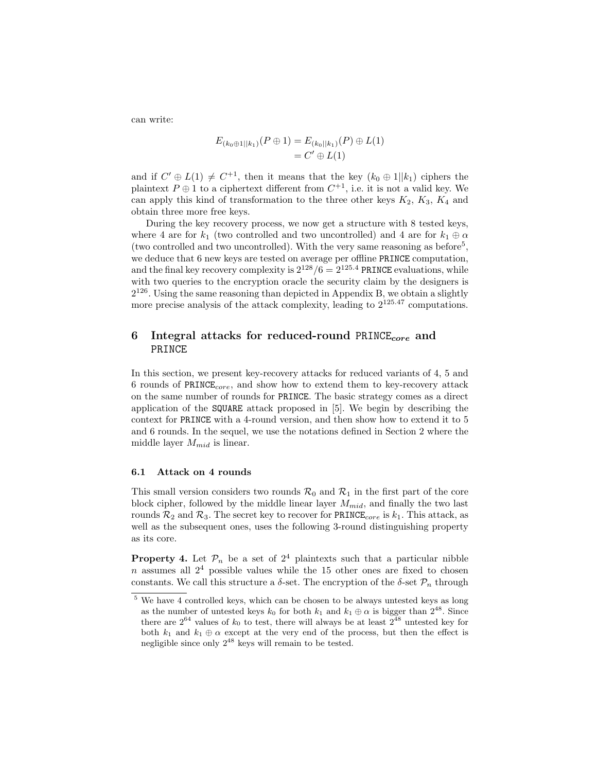can write:

$$
E_{(k_0 \oplus 1||k_1)}(P \oplus 1) = E_{(k_0||k_1)}(P) \oplus L(1) = C' \oplus L(1)
$$

and if  $C' \oplus L(1) \neq C^{+1}$ , then it means that the key  $(k_0 \oplus 1||k_1)$  ciphers the plaintext  $P \oplus 1$  to a ciphertext different from  $C^{+1}$ , i.e. it is not a valid key. We can apply this kind of transformation to the three other keys  $K_2$ ,  $K_3$ ,  $K_4$  and obtain three more free keys.

During the key recovery process, we now get a structure with 8 tested keys, where 4 are for  $k_1$  (two controlled and two uncontrolled) and 4 are for  $k_1 \oplus \alpha$ (two controlled and two uncontrolled). With the very same reasoning as before<sup>5</sup>, we deduce that 6 new keys are tested on average per offline PRINCE computation, and the final key recovery complexity is  $2^{128}/6 = 2^{125.4}$  PRINCE evaluations, while with two queries to the encryption oracle the security claim by the designers is 2 <sup>126</sup>. Using the same reasoning than depicted in Appendix B, we obtain a slightly more precise analysis of the attack complexity, leading to  $2^{125.47}$  computations.

# 6 Integral attacks for reduced-round PRINCE<sub>core</sub> and PRINCE

In this section, we present key-recovery attacks for reduced variants of 4, 5 and 6 rounds of  $PRINE_{core}$ , and show how to extend them to key-recovery attack on the same number of rounds for PRINCE. The basic strategy comes as a direct application of the SQUARE attack proposed in [5]. We begin by describing the context for PRINCE with a 4-round version, and then show how to extend it to 5 and 6 rounds. In the sequel, we use the notations defined in Section 2 where the middle layer  $M_{mid}$  is linear.

### 6.1 Attack on 4 rounds

This small version considers two rounds  $\mathcal{R}_0$  and  $\mathcal{R}_1$  in the first part of the core block cipher, followed by the middle linear layer  $M_{mid}$ , and finally the two last rounds  $\mathcal{R}_2$  and  $\mathcal{R}_3$ . The secret key to recover for PRINCE<sub>core</sub> is  $k_1$ . This attack, as well as the subsequent ones, uses the following 3-round distinguishing property as its core.

**Property 4.** Let  $\mathcal{P}_n$  be a set of  $2^4$  plaintexts such that a particular nibble  $n$  assumes all  $2<sup>4</sup>$  possible values while the 15 other ones are fixed to chosen constants. We call this structure a  $\delta$ -set. The encryption of the  $\delta$ -set  $\mathcal{P}_n$  through

<sup>5</sup> We have 4 controlled keys, which can be chosen to be always untested keys as long as the number of untested keys  $k_0$  for both  $k_1$  and  $k_1 \oplus \alpha$  is bigger than  $2^{48}$ . Since there are  $2^{64}$  values of  $k_0$  to test, there will always be at least  $2^{48}$  untested key for both  $k_1$  and  $k_1 \oplus \alpha$  except at the very end of the process, but then the effect is negligible since only  $2^{48}$  keys will remain to be tested.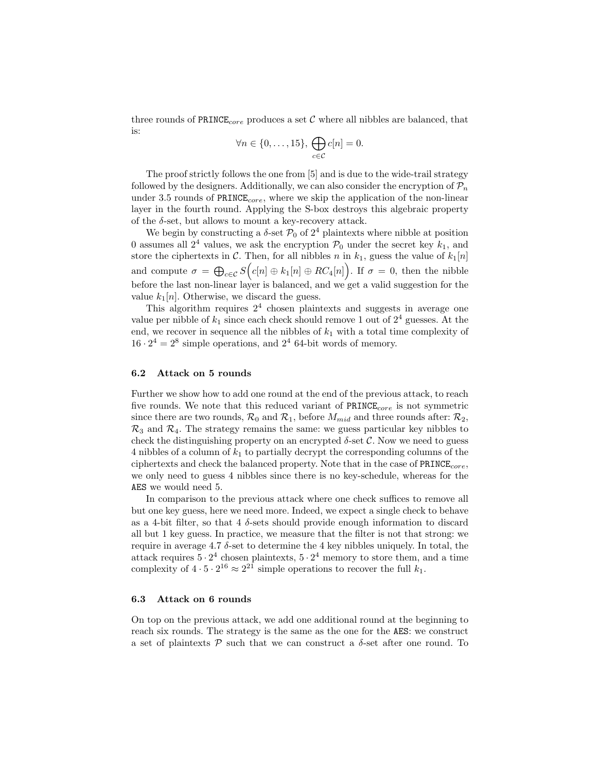three rounds of PRINCE<sub>core</sub> produces a set C where all nibbles are balanced, that is:

$$
\forall n \in \{0, \ldots, 15\}, \bigoplus_{c \in \mathcal{C}} c[n] = 0.
$$

The proof strictly follows the one from [5] and is due to the wide-trail strategy followed by the designers. Additionally, we can also consider the encryption of  $\mathcal{P}_n$ under 3.5 rounds of  $PRINE_{core}$ , where we skip the application of the non-linear layer in the fourth round. Applying the S-box destroys this algebraic property of the  $\delta$ -set, but allows to mount a key-recovery attack.

We begin by constructing a  $\delta$ -set  $\mathcal{P}_0$  of  $2^4$  plaintexts where nibble at position 0 assumes all  $2^4$  values, we ask the encryption  $\mathcal{P}_0$  under the secret key  $k_1$ , and store the ciphertexts in C. Then, for all nibbles n in  $k_1$ , guess the value of  $k_1[n]$ and compute  $\sigma = \bigoplus_{c \in \mathcal{C}} S(e[n] \oplus k_1[n] \oplus RC_4[n])$ . If  $\sigma = 0$ , then the nibble before the last non-linear layer is balanced, and we get a valid suggestion for the value  $k_1[n]$ . Otherwise, we discard the guess.

This algorithm requires  $2<sup>4</sup>$  chosen plaintexts and suggests in average one value per nibble of  $k_1$  since each check should remove 1 out of  $2^4$  guesses. At the end, we recover in sequence all the nibbles of  $k_1$  with a total time complexity of  $16 \cdot 2^4 = 2^8$  simple operations, and  $2^4$  64-bit words of memory.

### 6.2 Attack on 5 rounds

Further we show how to add one round at the end of the previous attack, to reach five rounds. We note that this reduced variant of  $PRINE_{core}$  is not symmetric since there are two rounds,  $\mathcal{R}_0$  and  $\mathcal{R}_1$ , before  $M_{mid}$  and three rounds after:  $\mathcal{R}_2$ ,  $\mathcal{R}_3$  and  $\mathcal{R}_4$ . The strategy remains the same: we guess particular key nibbles to check the distinguishing property on an encrypted  $\delta$ -set C. Now we need to guess 4 nibbles of a column of  $k_1$  to partially decrypt the corresponding columns of the ciphertexts and check the balanced property. Note that in the case of  $PRINE_{core}$ , we only need to guess 4 nibbles since there is no key-schedule, whereas for the AES we would need 5.

In comparison to the previous attack where one check suffices to remove all but one key guess, here we need more. Indeed, we expect a single check to behave as a 4-bit filter, so that 4  $\delta$ -sets should provide enough information to discard all but 1 key guess. In practice, we measure that the filter is not that strong: we require in average 4.7  $\delta$ -set to determine the 4 key nibbles uniquely. In total, the attack requires  $5 \cdot 2^4$  chosen plaintexts,  $5 \cdot 2^4$  memory to store them, and a time complexity of  $4 \cdot 5 \cdot 2^{16} \approx 2^{21}$  simple operations to recover the full  $k_1$ .

#### 6.3 Attack on 6 rounds

On top on the previous attack, we add one additional round at the beginning to reach six rounds. The strategy is the same as the one for the AES: we construct a set of plaintexts  $P$  such that we can construct a  $\delta$ -set after one round. To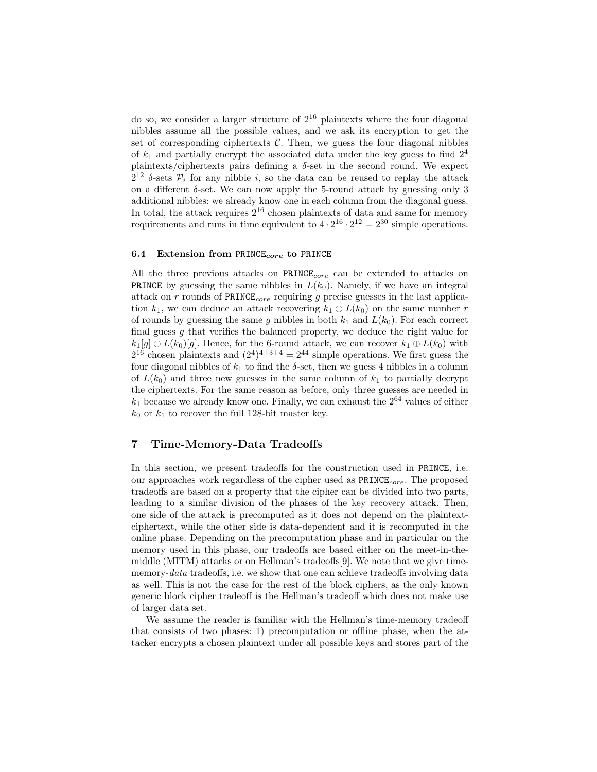do so, we consider a larger structure of  $2^{16}$  plaintexts where the four diagonal nibbles assume all the possible values, and we ask its encryption to get the set of corresponding ciphertexts  $C$ . Then, we guess the four diagonal nibbles of  $k_1$  and partially encrypt the associated data under the key guess to find  $2^4$ plaintexts/ciphertexts pairs defining a  $\delta$ -set in the second round. We expect  $2^{12}$  δ-sets  $\mathcal{P}_i$  for any nibble i, so the data can be reused to replay the attack on a different  $\delta$ -set. We can now apply the 5-round attack by guessing only 3 additional nibbles: we already know one in each column from the diagonal guess. In total, the attack requires  $2^{16}$  chosen plaintexts of data and same for memory requirements and runs in time equivalent to  $4 \cdot 2^{16} \cdot 2^{12} = 2^{30}$  simple operations.

### 6.4 Extension from PRINCE<sub>core</sub> to PRINCE

All the three previous attacks on  $PRINE_{core}$  can be extended to attacks on **PRINCE** by guessing the same nibbles in  $L(k_0)$ . Namely, if we have an integral attack on  $r$  rounds of PRINCE<sub>core</sub> requiring  $g$  precise guesses in the last application  $k_1$ , we can deduce an attack recovering  $k_1 \oplus L(k_0)$  on the same number r of rounds by guessing the same g nibbles in both  $k_1$  and  $L(k_0)$ . For each correct final guess  $g$  that verifies the balanced property, we deduce the right value for  $k_1[g] \oplus L(k_0)[g]$ . Hence, for the 6-round attack, we can recover  $k_1 \oplus L(k_0)$  with  $2^{16}$  chosen plaintexts and  $(2^4)^{4+3+4} = 2^{44}$  simple operations. We first guess the four diagonal nibbles of  $k_1$  to find the  $\delta$ -set, then we guess 4 nibbles in a column of  $L(k_0)$  and three new guesses in the same column of  $k_1$  to partially decrypt the ciphertexts. For the same reason as before, only three guesses are needed in  $k_1$  because we already know one. Finally, we can exhaust the  $2^{64}$  values of either  $k_0$  or  $k_1$  to recover the full 128-bit master key.

## 7 Time-Memory-Data Tradeoffs

In this section, we present tradeoffs for the construction used in PRINCE, i.e. our approaches work regardless of the cipher used as  $PRINE_{core}$ . The proposed tradeoffs are based on a property that the cipher can be divided into two parts, leading to a similar division of the phases of the key recovery attack. Then, one side of the attack is precomputed as it does not depend on the plaintextciphertext, while the other side is data-dependent and it is recomputed in the online phase. Depending on the precomputation phase and in particular on the memory used in this phase, our tradeoffs are based either on the meet-in-themiddle (MITM) attacks or on Hellman's tradeoffs[9]. We note that we give timememory-data tradeoffs, i.e. we show that one can achieve tradeoffs involving data as well. This is not the case for the rest of the block ciphers, as the only known generic block cipher tradeoff is the Hellman's tradeoff which does not make use of larger data set.

We assume the reader is familiar with the Hellman's time-memory tradeoff that consists of two phases: 1) precomputation or offline phase, when the attacker encrypts a chosen plaintext under all possible keys and stores part of the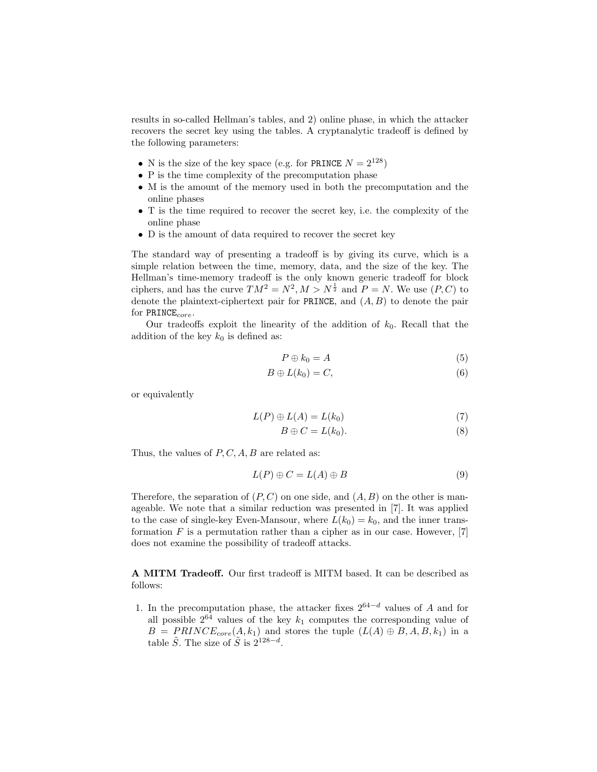results in so-called Hellman's tables, and 2) online phase, in which the attacker recovers the secret key using the tables. A cryptanalytic tradeoff is defined by the following parameters:

- N is the size of the key space (e.g. for PRINCE  $N = 2^{128}$ )
- P is the time complexity of the precomputation phase
- M is the amount of the memory used in both the precomputation and the online phases
- T is the time required to recover the secret key, i.e. the complexity of the online phase
- D is the amount of data required to recover the secret key

The standard way of presenting a tradeoff is by giving its curve, which is a simple relation between the time, memory, data, and the size of the key. The Hellman's time-memory tradeoff is the only known generic tradeoff for block ciphers, and has the curve  $TM^2 = N^2, M > N^{\frac{1}{2}}$  and  $P = N$ . We use  $(P, C)$  to denote the plaintext-ciphertext pair for PRINCE, and  $(A, B)$  to denote the pair for  $\texttt{PRINCE}_{core}$ .

Our tradeoffs exploit the linearity of the addition of  $k_0$ . Recall that the addition of the key  $k_0$  is defined as:

$$
P \oplus k_0 = A \tag{5}
$$

$$
B \oplus L(k_0) = C,\t\t(6)
$$

or equivalently

$$
L(P) \oplus L(A) = L(k_0)
$$
\n<sup>(7)</sup>

$$
B \oplus C = L(k_0). \tag{8}
$$

Thus, the values of  $P, C, A, B$  are related as:

$$
L(P) \oplus C = L(A) \oplus B \tag{9}
$$

Therefore, the separation of  $(P, C)$  on one side, and  $(A, B)$  on the other is manageable. We note that a similar reduction was presented in [7]. It was applied to the case of single-key Even-Mansour, where  $L(k_0) = k_0$ , and the inner transformation  $F$  is a permutation rather than a cipher as in our case. However, [7] does not examine the possibility of tradeoff attacks.

A MITM Tradeoff. Our first tradeoff is MITM based. It can be described as follows:

1. In the precomputation phase, the attacker fixes  $2^{64-d}$  values of A and for all possible  $2^{64}$  values of the key  $k_1$  computes the corresponding value of  $B = PRINCE_{core}(A, k_1)$  and stores the tuple  $(L(A) \oplus B, A, B, k_1)$  in a table  $\tilde{S}$ . The size of  $\tilde{S}$  is  $2^{128-d}$ .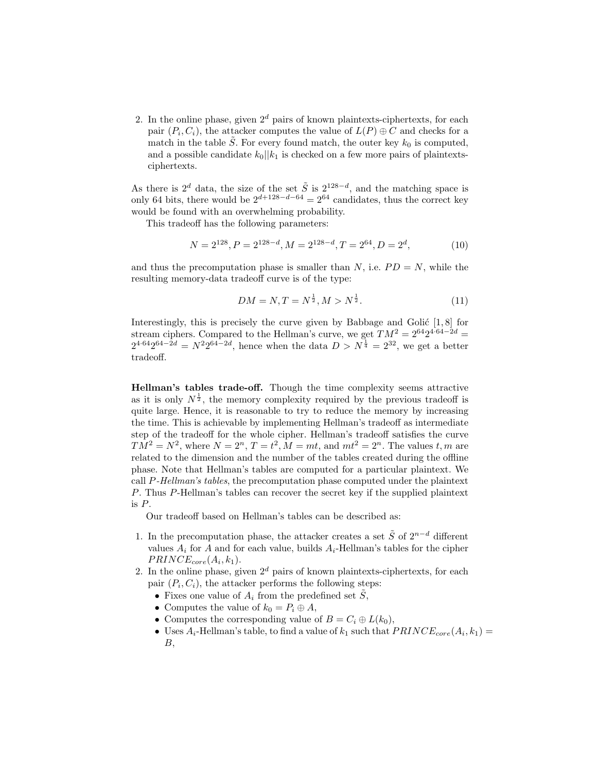2. In the online phase, given  $2^d$  pairs of known plaintexts-ciphertexts, for each pair  $(P_i, C_i)$ , the attacker computes the value of  $L(P) \oplus C$  and checks for a match in the table S. For every found match, the outer key  $k_0$  is computed, and a possible candidate  $k_0||k_1$  is checked on a few more pairs of plaintextsciphertexts.

As there is  $2^d$  data, the size of the set  $\tilde{S}$  is  $2^{128-d}$ , and the matching space is only 64 bits, there would be  $2^{d+128-d-64} = 2^{64}$  candidates, thus the correct key would be found with an overwhelming probability.

This tradeoff has the following parameters:

$$
N = 2^{128}, P = 2^{128-d}, M = 2^{128-d}, T = 2^{64}, D = 2^d,
$$
\n(10)

and thus the precomputation phase is smaller than N, i.e.  $PD = N$ , while the resulting memory-data tradeoff curve is of the type:

$$
DM = N, T = N^{\frac{1}{2}}, M > N^{\frac{1}{2}}.
$$
\n(11)

Interestingly, this is precisely the curve given by Babbage and Golić  $[1, 8]$  for stream ciphers. Compared to the Hellman's curve, we get  $TM^2 = 2^{64}2^{4 \cdot 64 - 2d}$  $2^{4.64}2^{64-2d} = N^22^{64-2d}$ , hence when the data  $D > N^{\frac{1}{4}} = 2^{32}$ , we get a better tradeoff.

Hellman's tables trade-off. Though the time complexity seems attractive as it is only  $N^{\frac{1}{2}}$ , the memory complexity required by the previous tradeoff is quite large. Hence, it is reasonable to try to reduce the memory by increasing the time. This is achievable by implementing Hellman's tradeoff as intermediate step of the tradeoff for the whole cipher. Hellman's tradeoff satisfies the curve  $TM^2 = N^2$ , where  $N = 2^n$ ,  $T = t^2$ ,  $M = mt$ , and  $mt^2 = 2^n$ . The values  $t, m$  are related to the dimension and the number of the tables created during the offline phase. Note that Hellman's tables are computed for a particular plaintext. We call P-Hellman's tables, the precomputation phase computed under the plaintext P. Thus P-Hellman's tables can recover the secret key if the supplied plaintext is P.

Our tradeoff based on Hellman's tables can be described as:

- 1. In the precomputation phase, the attacker creates a set  $\tilde{S}$  of  $2^{n-d}$  different values  $A_i$  for A and for each value, builds  $A_i$ -Hellman's tables for the cipher  $PRINCE_{core}(A_i, k_1).$
- 2. In the online phase, given  $2^d$  pairs of known plaintexts-ciphertexts, for each pair  $(P_i, C_i)$ , the attacker performs the following steps:
	- Fixes one value of  $A_i$  from the predefined set  $\tilde{S}$ ,
	- Computes the value of  $k_0 = P_i \oplus A$ ,
	- Computes the corresponding value of  $B = C_i \oplus L(k_0)$ ,
	- Uses  $A_i$ -Hellman's table, to find a value of  $k_1$  such that  $PRINCE_{core}(A_i, k_1)$  =  $B$ ,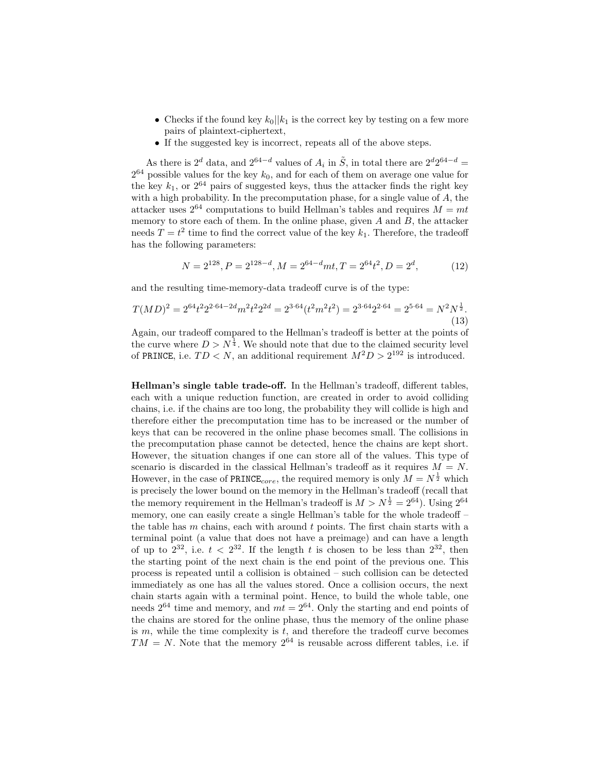- Checks if the found key  $k_0||k_1$  is the correct key by testing on a few more pairs of plaintext-ciphertext,
- If the suggested key is incorrect, repeats all of the above steps.

As there is  $2^d$  data, and  $2^{64-d}$  values of  $A_i$  in  $\tilde{S}$ , in total there are  $2^d 2^{64-d}$  =  $2^{64}$  possible values for the key  $k_0$ , and for each of them on average one value for the key  $k_1$ , or  $2^{64}$  pairs of suggested keys, thus the attacker finds the right key with a high probability. In the precomputation phase, for a single value of A, the attacker uses  $2^{64}$  computations to build Hellman's tables and requires  $M = mt$ memory to store each of them. In the online phase, given  $A$  and  $B$ , the attacker needs  $T = t^2$  time to find the correct value of the key  $k_1$ . Therefore, the tradeoff has the following parameters:

$$
N = 2^{128}, P = 2^{128-d}, M = 2^{64-d}mt, T = 2^{64}t^2, D = 2^d,
$$
\n(12)

and the resulting time-memory-data tradeoff curve is of the type:

$$
T(MD)^2 = 2^{64}t^2 2^{2 \cdot 64 - 2d} m^2 t^2 2^{2d} = 2^{3 \cdot 64} (t^2 m^2 t^2) = 2^{3 \cdot 64} 2^{2 \cdot 64} = 2^{5 \cdot 64} = N^2 N^{\frac{1}{2}}.
$$
\n(13)

Again, our tradeoff compared to the Hellman's tradeoff is better at the points of the curve where  $D > N^{\frac{1}{4}}$ . We should note that due to the claimed security level of PRINCE, i.e.  $TD < N$ , an additional requirement  $M^2D > 2^{192}$  is introduced.

Hellman's single table trade-off. In the Hellman's tradeoff, different tables, each with a unique reduction function, are created in order to avoid colliding chains, i.e. if the chains are too long, the probability they will collide is high and therefore either the precomputation time has to be increased or the number of keys that can be recovered in the online phase becomes small. The collisions in the precomputation phase cannot be detected, hence the chains are kept short. However, the situation changes if one can store all of the values. This type of scenario is discarded in the classical Hellman's tradeoff as it requires  $M = N$ . However, in the case of PRINCE<sub>core</sub>, the required memory is only  $M = N^{\frac{1}{2}}$  which is precisely the lower bound on the memory in the Hellman's tradeoff (recall that the memory requirement in the Hellman's tradeoff is  $M > N^{\frac{1}{2}} = 2^{64}$ ). Using  $2^{64}$ memory, one can easily create a single Hellman's table for the whole tradeoff – the table has  $m$  chains, each with around  $t$  points. The first chain starts with a terminal point (a value that does not have a preimage) and can have a length of up to  $2^{32}$ , i.e.  $t < 2^{32}$ . If the length t is chosen to be less than  $2^{32}$ , then the starting point of the next chain is the end point of the previous one. This process is repeated until a collision is obtained – such collision can be detected immediately as one has all the values stored. Once a collision occurs, the next chain starts again with a terminal point. Hence, to build the whole table, one needs  $2^{64}$  time and memory, and  $m = 2^{64}$ . Only the starting and end points of the chains are stored for the online phase, thus the memory of the online phase is  $m$ , while the time complexity is  $t$ , and therefore the tradeoff curve becomes  $TM = N$ . Note that the memory  $2^{64}$  is reusable across different tables, i.e. if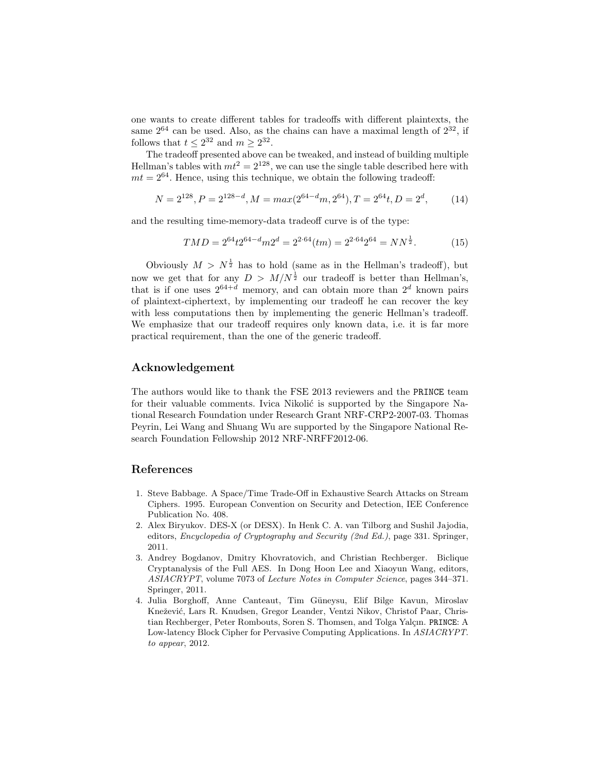one wants to create different tables for tradeoffs with different plaintexts, the same  $2^{64}$  can be used. Also, as the chains can have a maximal length of  $2^{32}$ , if follows that  $t \leq 2^{32}$  and  $m \geq 2^{32}$ .

The tradeoff presented above can be tweaked, and instead of building multiple Hellman's tables with  $mt^2 = 2^{128}$ , we can use the single table described here with  $mt = 2^{64}$ . Hence, using this technique, we obtain the following tradeoff:

$$
N = 2^{128}, P = 2^{128-d}, M = max(2^{64-d}m, 2^{64}), T = 2^{64}t, D = 2^d,
$$
 (14)

and the resulting time-memory-data tradeoff curve is of the type:

$$
TMD = 2^{64}t2^{64-d}m2^d = 2^{2 \cdot 64}(tm) = 2^{2 \cdot 64}2^{64} = NN^{\frac{1}{2}}.
$$
 (15)

Obviously  $M > N^{\frac{1}{2}}$  has to hold (same as in the Hellman's tradeoff), but now we get that for any  $D > M/N^{\frac{1}{2}}$  our tradeoff is better than Hellman's, that is if one uses  $2^{64+d}$  memory, and can obtain more than  $2^d$  known pairs of plaintext-ciphertext, by implementing our tradeoff he can recover the key with less computations then by implementing the generic Hellman's tradeoff. We emphasize that our tradeoff requires only known data, i.e. it is far more practical requirement, than the one of the generic tradeoff.

### Acknowledgement

The authors would like to thank the FSE 2013 reviewers and the PRINCE team for their valuable comments. Ivica Nikolić is supported by the Singapore National Research Foundation under Research Grant NRF-CRP2-2007-03. Thomas Peyrin, Lei Wang and Shuang Wu are supported by the Singapore National Research Foundation Fellowship 2012 NRF-NRFF2012-06.

## References

- 1. Steve Babbage. A Space/Time Trade-Off in Exhaustive Search Attacks on Stream Ciphers. 1995. European Convention on Security and Detection, IEE Conference Publication No. 408.
- 2. Alex Biryukov. DES-X (or DESX). In Henk C. A. van Tilborg and Sushil Jajodia, editors, Encyclopedia of Cryptography and Security (2nd Ed.), page 331. Springer, 2011.
- 3. Andrey Bogdanov, Dmitry Khovratovich, and Christian Rechberger. Biclique Cryptanalysis of the Full AES. In Dong Hoon Lee and Xiaoyun Wang, editors, ASIACRYPT, volume 7073 of Lecture Notes in Computer Science, pages 344–371. Springer, 2011.
- 4. Julia Borghoff, Anne Canteaut, Tim Güneysu, Elif Bilge Kavun, Miroslav Knežević, Lars R. Knudsen, Gregor Leander, Ventzi Nikov, Christof Paar, Christian Rechberger, Peter Rombouts, Soren S. Thomsen, and Tolga Yalçın. PRINCE: A Low-latency Block Cipher for Pervasive Computing Applications. In ASIACRYPT. to appear, 2012.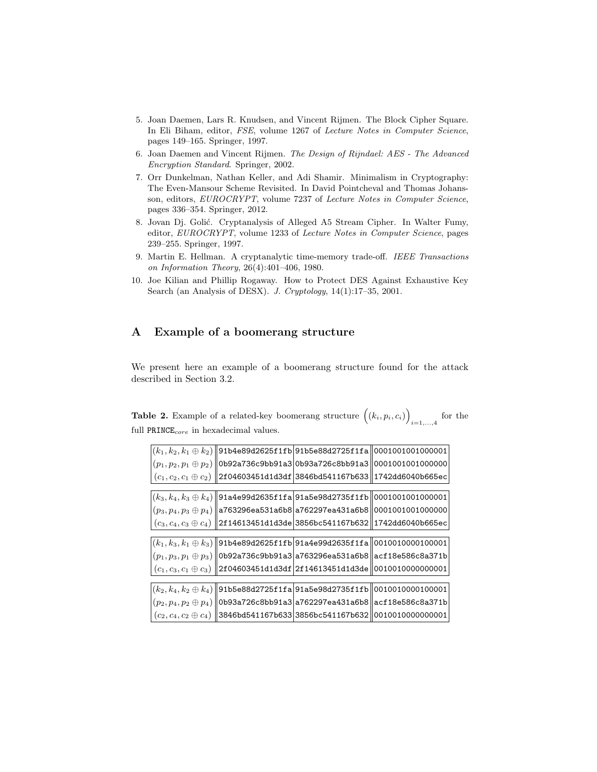- 5. Joan Daemen, Lars R. Knudsen, and Vincent Rijmen. The Block Cipher Square. In Eli Biham, editor, FSE, volume 1267 of Lecture Notes in Computer Science, pages 149–165. Springer, 1997.
- 6. Joan Daemen and Vincent Rijmen. The Design of Rijndael: AES The Advanced Encryption Standard. Springer, 2002.
- 7. Orr Dunkelman, Nathan Keller, and Adi Shamir. Minimalism in Cryptography: The Even-Mansour Scheme Revisited. In David Pointcheval and Thomas Johansson, editors, EUROCRYPT, volume 7237 of Lecture Notes in Computer Science, pages 336–354. Springer, 2012.
- 8. Jovan Dj. Golić. Cryptanalysis of Alleged A5 Stream Cipher. In Walter Fumy, editor, EUROCRYPT, volume 1233 of Lecture Notes in Computer Science, pages 239–255. Springer, 1997.
- 9. Martin E. Hellman. A cryptanalytic time-memory trade-off. IEEE Transactions on Information Theory, 26(4):401–406, 1980.
- 10. Joe Kilian and Phillip Rogaway. How to Protect DES Against Exhaustive Key Search (an Analysis of DESX). J. Cryptology, 14(1):17–35, 2001.

# A Example of a boomerang structure

We present here an example of a boomerang structure found for the attack described in Section 3.2.

| <b>able 2.</b> Example of a related-key boomerang structure $((k_i, p_i, c_i))_{i=1,\ldots,4}$ for the |  |  |
|--------------------------------------------------------------------------------------------------------|--|--|
| full $PRINE_{core}$ in hexadecimal values.                                                             |  |  |

 $\overline{\phantom{0}}$ 

|                              |                                   | $\left  \left( k_{1}, k_{2}, k_{1} \oplus k_{2} \right) \right $ 91b4e89d2625f1fb 91b5e88d2725f1fa  00010010010000001                                                            |                  |  |  |  |  |  |  |
|------------------------------|-----------------------------------|----------------------------------------------------------------------------------------------------------------------------------------------------------------------------------|------------------|--|--|--|--|--|--|
|                              |                                   | $p_1, p_2, p_1 \oplus p_2)$   0b92a736c9bb91a3 0b93a726c8bb91a3                                                                                                                  | 0001001001000000 |  |  |  |  |  |  |
|                              |                                   | $(c_1, c_2, c_1 \oplus c_2)$   2f04603451d1d3df  3846bd541167b633   1742dd6040b665ec                                                                                             |                  |  |  |  |  |  |  |
|                              |                                   |                                                                                                                                                                                  |                  |  |  |  |  |  |  |
|                              |                                   | $\left  \left( k_3, k_4, k_3 \oplus k_4 \right) \right \right $ 91a $4$ e $99$ d $2635$ f $1$ f $\mathtt{a}$  91a $5$ e $98$ d $2735$ f $1$ f $\mathtt{b}$   0001001001001000001 |                  |  |  |  |  |  |  |
|                              |                                   | $(p_3, p_4, p_3 \oplus p_4)$   a763296ea531a6b8 a762297ea431a6b8  00010010010000000                                                                                              |                  |  |  |  |  |  |  |
|                              |                                   | $(c_3, c_4, c_3 \oplus c_4)$   2f14613451d1d3de 3856bc541167b632  1742dd6040b665ec                                                                                               |                  |  |  |  |  |  |  |
|                              |                                   |                                                                                                                                                                                  |                  |  |  |  |  |  |  |
|                              |                                   | $\left  \left( k_{1}, k_{3}, k_{1} \oplus k_{3} \right) \right $ 91b4e89d2625f1fb 91a4e99d2635f1fa  0010010000100001                                                             |                  |  |  |  |  |  |  |
|                              |                                   | $(p_1, p_3, p_1 \oplus p_3)$   0b92a736c9bb91a3 a763296ea531a6b8  acf18e586c8a371b                                                                                               |                  |  |  |  |  |  |  |
|                              |                                   | $\left\  \left( c_1 , c_3 , c_1 \oplus c_3 \right) \right\ $ 2f04603451d1d3df 2f14613451d1d3de $\ $ 00100100000000001                                                            |                  |  |  |  |  |  |  |
|                              |                                   |                                                                                                                                                                                  |                  |  |  |  |  |  |  |
| $(k_2, k_4, k_2 \oplus k_4)$ |                                   | 91b5e88d2725f1fa91a5e98d2735f1fb  0010010000100001                                                                                                                               |                  |  |  |  |  |  |  |
|                              |                                   | $p_1(p_2, p_4, p_2 \oplus p_4)$   0b93a726c8bb91a3 a762297ea431a6b8  acf18e586c8a371b                                                                                            |                  |  |  |  |  |  |  |
| $(c_2,c_4,c_2\oplus c_4)$    | 3846bd541167b633 3856bc541167b632 |                                                                                                                                                                                  | 0010010000000001 |  |  |  |  |  |  |